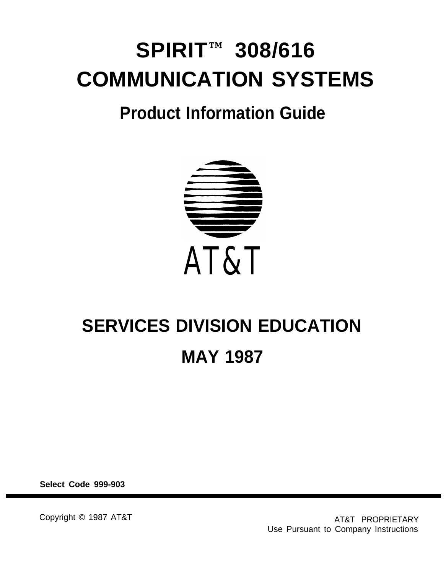# **SPIRIT™ 308/616 COMMUNICATION SYSTEMS**

# **Product Information Guide**



# **SERVICES DIVISION EDUCATION MAY 1987**

**Select Code 999-903**

Copyright © 1987 AT&T AT&T AT&T PROPRIETARY Use Pursuant to Company Instructions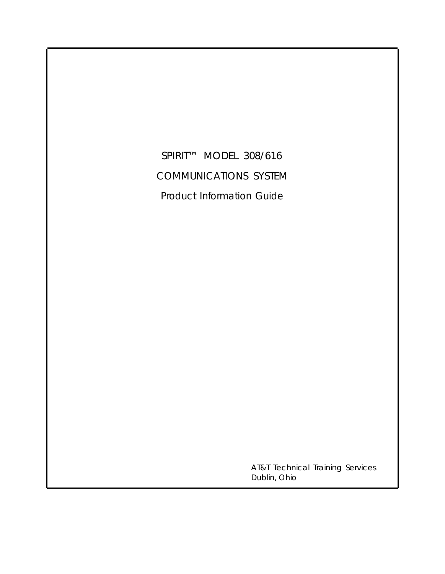SPIRIT™ MODEL 308/616 COMMUNICATIONS SYSTEM Product Information Guide

> AT&T Technical Training Services Dublin, Ohio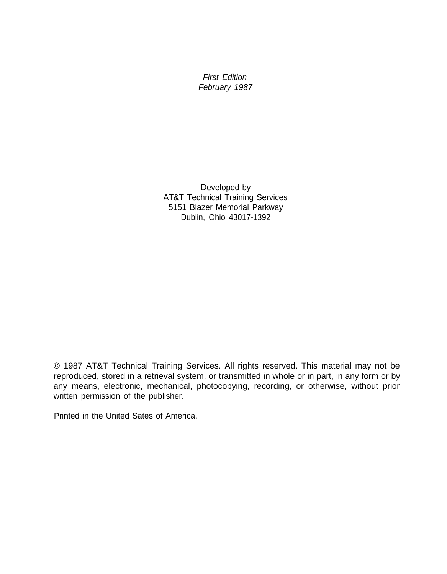First Edition February 1987

Developed by AT&T Technical Training Services 5151 Blazer Memorial Parkway Dublin, Ohio 43017-1392

© 1987 AT&T Technical Training Services. All rights reserved. This material may not be reproduced, stored in a retrieval system, or transmitted in whole or in part, in any form or by any means, electronic, mechanical, photocopying, recording, or otherwise, without prior written permission of the publisher.

Printed in the United Sates of America.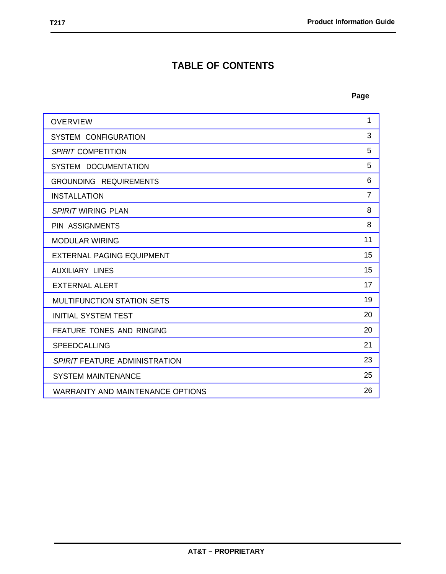# **TABLE OF CONTENTS**

| <b>OVERVIEW</b>                         | 1              |
|-----------------------------------------|----------------|
| SYSTEM CONFIGURATION                    | 3              |
| SPIRIT COMPETITION                      | 5              |
| SYSTEM DOCUMENTATION                    | 5              |
| <b>GROUNDING REQUIREMENTS</b>           | 6              |
| <b>INSTALLATION</b>                     | $\overline{7}$ |
| SPIRIT WIRING PLAN                      | 8              |
| <b>PIN ASSIGNMENTS</b>                  | 8              |
| <b>MODULAR WIRING</b>                   | 11             |
| <b>EXTERNAL PAGING EQUIPMENT</b>        | 15             |
| <b>AUXILIARY LINES</b>                  | 15             |
| <b>EXTERNAL ALERT</b>                   | 17             |
| <b>MULTIFUNCTION STATION SETS</b>       | 19             |
| <b>INITIAL SYSTEM TEST</b>              | 20             |
| <b>FEATURE TONES AND RINGING</b>        | 20             |
| <b>SPEEDCALLING</b>                     | 21             |
| SPIRIT FEATURE ADMINISTRATION           | 23             |
| <b>SYSTEM MAINTENANCE</b>               | 25             |
| <b>WARRANTY AND MAINTENANCE OPTIONS</b> | 26             |
|                                         |                |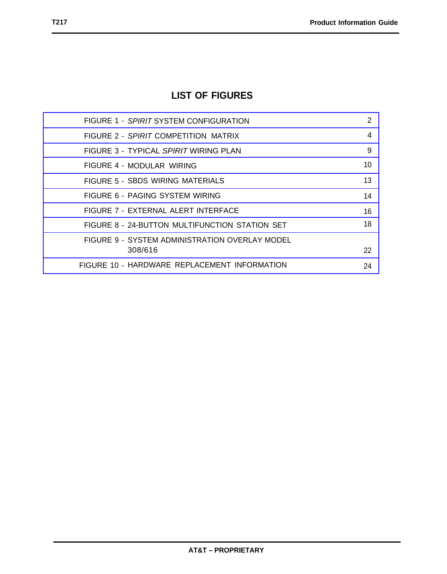# **LIST OF FIGURES**

| FIGURE 1 - SPIRIT SYSTEM CONFIGURATION         | 2  |
|------------------------------------------------|----|
| FIGURE 2 - SPIRIT COMPETITION MATRIX           | 4  |
| FIGURE 3 - TYPICAL SPIRIT WIRING PLAN          | 9  |
| FIGURE 4 - MODULAR WIRING                      | 10 |
| FIGURE 5 - SBDS WIRING MATERIALS               | 13 |
| FIGURE 6 - PAGING SYSTEM WIRING                | 14 |
| FIGURE 7 - EXTERNAL ALERT INTERFACE            | 16 |
| FIGURE 8 - 24-BUTTON MULTIFUNCTION STATION SET | 18 |
| FIGURE 9 - SYSTEM ADMINISTRATION OVERLAY MODEL |    |
| 308/616                                        | 22 |
| FIGURE 10 - HARDWARE REPLACEMENT INFORMATION   | 24 |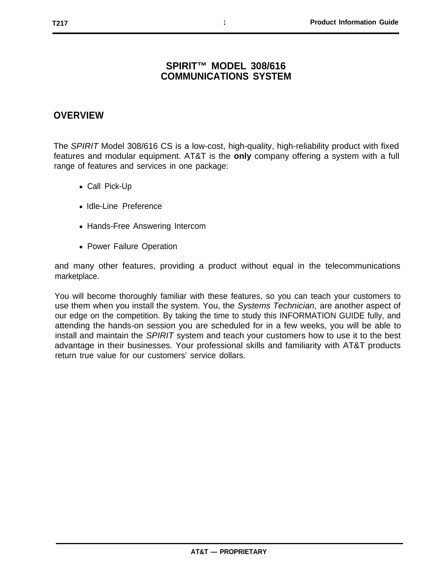#### **SPIRIT™ MODEL 308/616 COMMUNICATlONS SYSTEM**

#### <span id="page-5-0"></span>**OVERVIEW**

The SPIRIT Model 308/616 CS is a low-cost, high-quality, high-reliability product with fixed features and modular equipment. AT&T is the **only** company offering a system with a full range of features and services in one package:

- Call Pick-Up
- Idle-Line Preference
- Hands-Free Answering Intercom
- Power Failure Operation

and many other features, providing a product without equal in the telecommunications marketplace.

You will become thoroughly familiar with these features, so you can teach your customers to use them when you install the system. You, the Systems Technician, are another aspect of our edge on the competition. By taking the time to study this INFORMATION GUIDE fully, and attending the hands-on session you are scheduled for in a few weeks, you will be able to install and maintain the SPIRIT system and teach your customers how to use it to the best advantage in their businesses. Your professional skills and familiarity with AT&T products return true value for our customers' service dollars.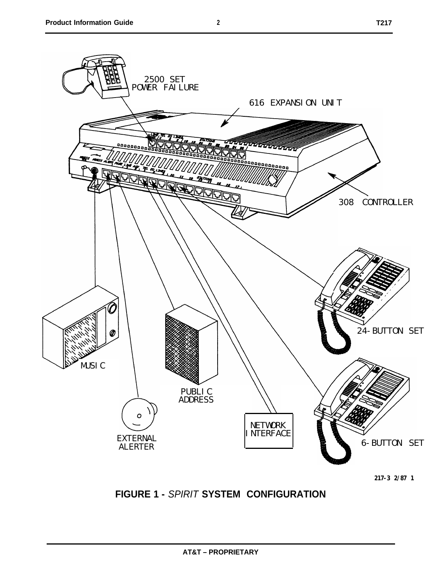<span id="page-6-1"></span><span id="page-6-0"></span>

**217-3 2/87 1**

# **FIGURE 1 -** SPIRIT **SYSTEM CONFIGURATION**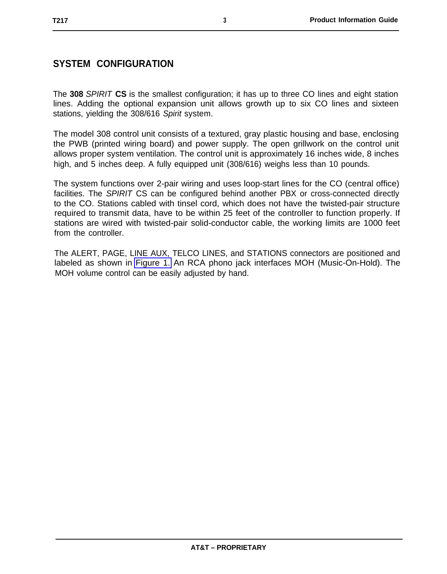# <span id="page-7-0"></span>**SYSTEM CONFIGURATION**

The **308** SPIRIT **CS** is the smallest configuration; it has up to three CO lines and eight station lines. Adding the optional expansion unit allows growth up to six CO lines and sixteen stations, yielding the 308/616 Spirit system.

The model 308 control unit consists of a textured, gray plastic housing and base, enclosing the PWB (printed wiring board) and power supply. The open grillwork on the control unit allows proper system ventilation. The control unit is approximately 16 inches wide, 8 inches high, and 5 inches deep. A fully equipped unit (308/616) weighs less than 10 pounds.

The system functions over 2-pair wiring and uses loop-start lines for the CO (central office) facilities. The SPIRIT CS can be configured behind another PBX or cross-connected directly to the CO. Stations cabled with tinsel cord, which does not have the twisted-pair structure required to transmit data, have to be within 25 feet of the controller to function properly. If stations are wired with twisted-pair solid-conductor cable, the working limits are 1000 feet from the controller.

The ALERT, PAGE, LINE AUX, TELCO LINES, and STATIONS connectors are positioned and labeled as shown in [Figure 1.](#page-6-1) An RCA phono jack interfaces MOH (Music-On-Hold). The MOH volume control can be easily adjusted by hand.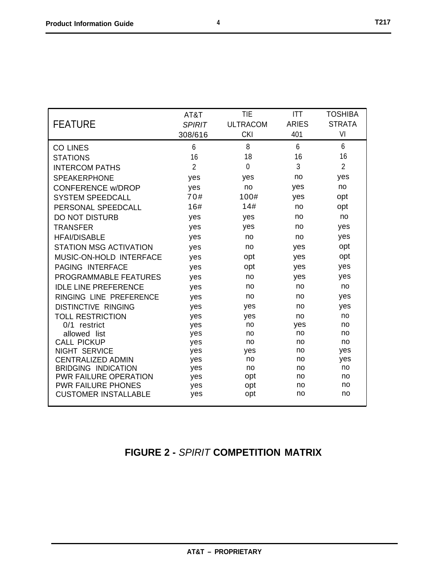<span id="page-8-1"></span><span id="page-8-0"></span>

|                                            | AT&T           | <b>TIE</b>      | <b>ITT</b>   | <b>TOSHIBA</b> |
|--------------------------------------------|----------------|-----------------|--------------|----------------|
| <b>FEATURE</b>                             | <b>SPIRIT</b>  | <b>ULTRACOM</b> | <b>ARIES</b> | <b>STRATA</b>  |
|                                            | 308/616        | <b>CKI</b>      | 401          | VI             |
| <b>CO LINES</b>                            | 6              | 8               | 6            | 6              |
| <b>STATIONS</b>                            | 16             | 18              | 16           | 16             |
| <b>INTERCOM PATHS</b>                      | $\overline{2}$ | 0               | 3            | $\overline{2}$ |
| <b>SPEAKERPHONE</b>                        | yes            | yes             | no           | yes            |
| <b>CONFERENCE w/DROP</b>                   | yes            | no              | yes          | no             |
| <b>SYSTEM SPEEDCALL</b>                    | 70#            | 100#            | yes          | opt            |
| PERSONAL SPEEDCALL                         | 16#            | 14#             | no           | opt            |
| DO NOT DISTURB                             | yes            | yes             | no           | no             |
| <b>TRANSFER</b>                            | yes            | yes             | no           | yes            |
| <b>HFAI/DISABLE</b>                        | yes            | no              | no           | yes            |
| <b>STATION MSG ACTIVATION</b>              | yes            | no              | yes          | opt            |
| MUSIC-ON-HOLD INTERFACE                    | yes            | opt             | yes          | opt            |
| PAGING INTERFACE                           | yes            | opt             | yes          | yes            |
| <b>PROGRAMMABLE FEATURES</b>               | yes            | no              | yes          | yes            |
| <b>IDLE LINE PREFERENCE</b>                | yes            | no              | no           | no             |
| RINGING LINE PREFERENCE                    | yes            | no              | no           | yes            |
| <b>DISTINCTIVE RINGING</b>                 | yes            | yes             | no           | yes            |
| <b>TOLL RESTRICTION</b>                    | yes            | yes             | no           | no             |
| 0/1 restrict                               | yes            | no              | yes          | no             |
| allowed list                               | yes            | no              | no           | no             |
| <b>CALL PICKUP</b><br><b>NIGHT SERVICE</b> | yes            | no              | no<br>no     | no<br>yes      |
| <b>CENTRALIZED ADMIN</b>                   | yes<br>yes     | yes<br>no       | no           | yes            |
| <b>BRIDGING INDICATION</b>                 | yes            | no              | no           | no             |
| <b>PWR FAILURE OPERATION</b>               | yes            | opt             | no           | no             |
| <b>PWR FAILURE PHONES</b>                  | yes            | opt             | no           | no             |
| <b>CUSTOMER INSTALLABLE</b>                | yes            | opt             | no           | no             |

# **FIGURE 2 -** SPIRIT **COMPETITION MATRIX**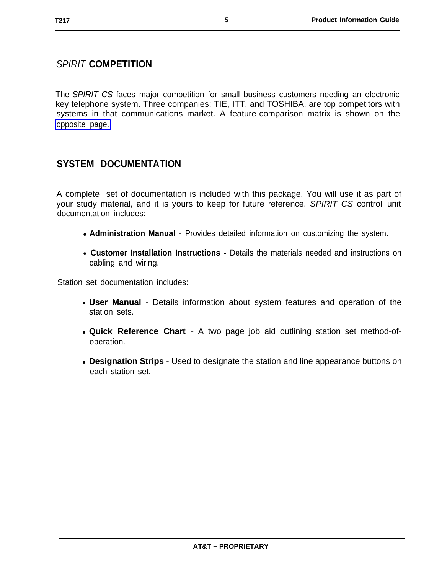# <span id="page-9-0"></span>SPIRIT **COMPETITION**

The SPIRIT CS faces major competition for small business customers needing an electronic key telephone system. Three companies; TIE, ITT, and TOSHIBA, are top competitors with [opposite page.](#page-8-1) systems in that communications market. A feature-comparison matrix is shown on the

# <span id="page-9-1"></span>**SYSTEM DOCUMENTATION**

A complete set of documentation is included with this package. You will use it as part of your study material, and it is yours to keep for future reference. SPIRIT CS control unit documentation includes:

- **Administration Manual** Provides detailed information on customizing the system.
- **Customer Installation Instructions** Details the materials needed and instructions on cabling and wiring.

Station set documentation includes:

- User Manual Details information about system features and operation of the station sets.
- **Quick Reference Chart** A two page job aid outlining station set method-ofoperation.
- **Designation Strips** Used to designate the station and line appearance buttons on each station set.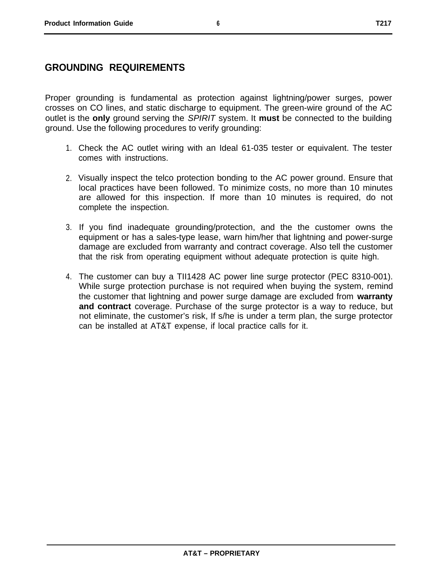### <span id="page-10-0"></span>**GROUNDING REQUIREMENTS**

Proper grounding is fundamental as protection against lightning/power surges, power crosses on CO lines, and static discharge to equipment. The green-wire ground of the AC outlet is the **only** ground serving the SPIRIT system. It **must** be connected to the building ground. Use the following procedures to verify grounding:

- 1. Check the AC outlet wiring with an Ideal 61-035 tester or equivalent. The tester comes with instructions.
- 2. Visually inspect the telco protection bonding to the AC power ground. Ensure that local practices have been followed. To minimize costs, no more than 10 minutes are allowed for this inspection. If more than 10 minutes is required, do not complete the inspection.
- 3. If you find inadequate grounding/protection, and the the customer owns the equipment or has a sales-type lease, warn him/her that lightning and power-surge damage are excluded from warranty and contract coverage. Also tell the customer that the risk from operating equipment without adequate protection is quite high.
- 4. The customer can buy a TII1428 AC power line surge protector (PEC 8310-001). While surge protection purchase is not required when buying the system, remind the customer that lightning and power surge damage are excluded from **warranty and contract** coverage. Purchase of the surge protector is a way to reduce, but not eliminate, the customer's risk, If s/he is under a term plan, the surge protector can be installed at AT&T expense, if local practice calls for it.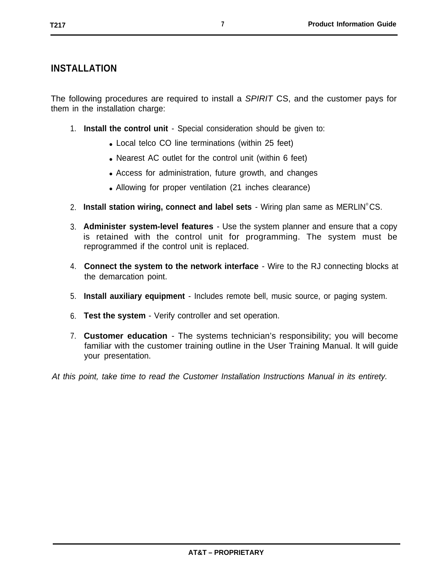## <span id="page-11-0"></span>**INSTALLATION**

The following procedures are required to install a *SPIRIT* CS, and the customer pays for them in the installation charge:

- 1. **Install the control unit**  Special consideration should be given to:
	- Local telco CO line terminations (within 25 feet)
	- Nearest AC outlet for the control unit (within 6 feet)
	- Access for administration, future growth, and changes
	- Allowing for proper ventilation (21 inches clearance)
- 2. **Install station wiring, connect and label sets**  Wiring plan same as MERLIN® CS.
- 3. **Administer system-level features** Use the system planner and ensure that a copy is retained with the control unit for programming. The system must be reprogrammed if the control unit is replaced.
- 4. **Connect the system to the network interface**  Wire to the RJ connecting blocks at the demarcation point.
- 5. **Install auxiliary equipment** Includes remote bell, music source, or paging system.
- 6. **Test the system**  Verify controller and set operation.
- 7. **Customer education** The systems technician's responsibility; you will become familiar with the customer training outline in the User Training Manual. lt will guide your presentation.

At this point, take time to read the Customer Installation Instructions Manual in its entirety.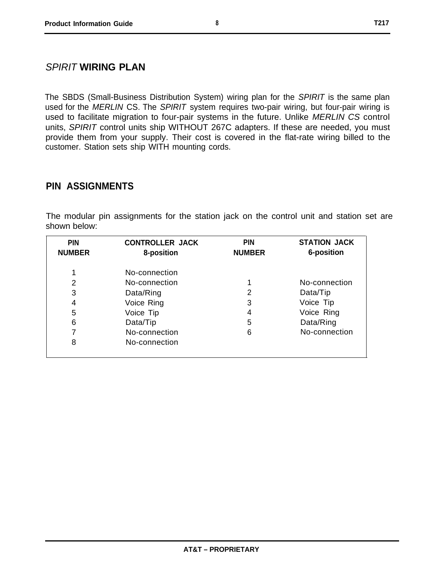#### <span id="page-12-0"></span>SPIRIT **WIRING PLAN**

The SBDS (Small-Business Distribution System) wiring plan for the SPIRIT is the same plan used for the MERLIN CS. The SPIRIT system requires two-pair wiring, but four-pair wiring is used to facilitate migration to four-pair systems in the future. Unlike MERLIN CS control units, SPIRIT control units ship WITHOUT 267C adapters. If these are needed, you must provide them from your supply. Their cost is covered in the flat-rate wiring billed to the customer. Station sets ship WITH mounting cords.

#### <span id="page-12-1"></span>**PIN ASSIGNMENTS**

The modular pin assignments for the station jack on the control unit and station set are shown below:

| <b>PIN</b><br><b>NUMBER</b> | <b>CONTROLLER JACK</b><br>8-position | <b>PIN</b><br><b>NUMBER</b> | <b>STATION JACK</b><br>6-position |
|-----------------------------|--------------------------------------|-----------------------------|-----------------------------------|
| 1                           | No-connection                        |                             |                                   |
| 2                           | No-connection                        |                             | No-connection                     |
| 3                           | Data/Ring                            | 2                           | Data/Tip                          |
| 4                           | Voice Ring                           | 3                           | Voice Tip                         |
| 5                           | Voice Tip                            | 4                           | Voice Ring                        |
| 6                           | Data/Tip                             | 5                           | Data/Ring                         |
|                             | No-connection                        | 6                           | No-connection                     |
| 8                           | No-connection                        |                             |                                   |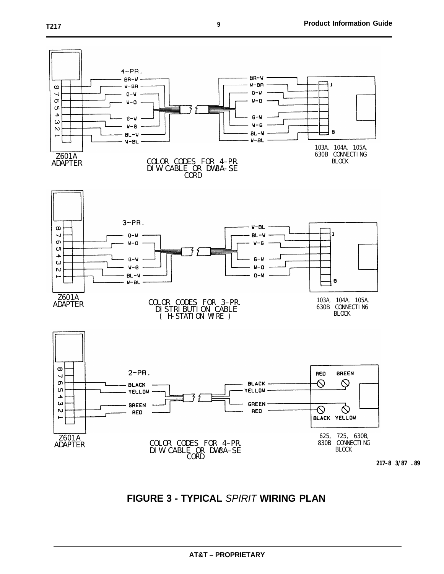<span id="page-13-0"></span>

**FIGURE 3 - TYPICAL** SPIRIT **WIRING PLAN**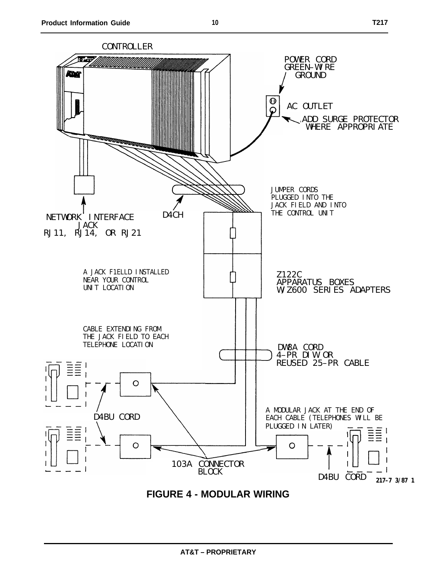<span id="page-14-0"></span>

**FIGURE 4 - MODULAR WIRING**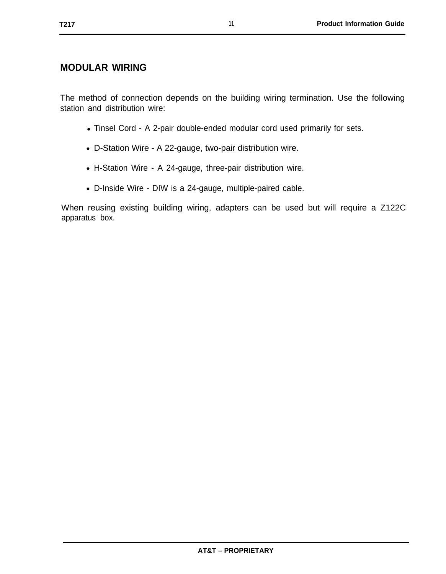#### <span id="page-15-0"></span>**MODULAR WIRING**

The method of connection depends on the building wiring termination. Use the following station and distribution wire:

- Tinsel Cord A 2-pair double-ended modular cord used primarily for sets.
- D-Station Wire A 22-gauge, two-pair distribution wire.
- H-Station Wire A 24-gauge, three-pair distribution wire.
- D-Inside Wire DIW is a 24-gauge, multiple-paired cable.

When reusing existing building wiring, adapters can be used but will require a Z122C apparatus box.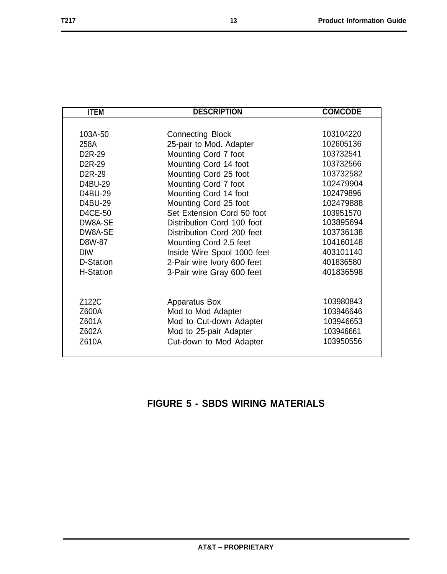<span id="page-17-0"></span>

| <b>ITEM</b>         | <b>DESCRIPTION</b>          | <b>COMCODE</b> |
|---------------------|-----------------------------|----------------|
|                     |                             |                |
| 103A-50             | <b>Connecting Block</b>     | 103104220      |
| 258A                | 25-pair to Mod. Adapter     | 102605136      |
| D <sub>2</sub> R-29 | Mounting Cord 7 foot        | 103732541      |
| D <sub>2</sub> R-29 | Mounting Cord 14 foot       | 103732566      |
| D <sub>2</sub> R-29 | Mounting Cord 25 foot       | 103732582      |
| D4BU-29             | Mounting Cord 7 foot        | 102479904      |
| D4BU-29             | Mounting Cord 14 foot       | 102479896      |
| D4BU-29             | Mounting Cord 25 foot       | 102479888      |
| D4CE-50             | Set Extension Cord 50 foot  | 103951570      |
| DW8A-SE             | Distribution Cord 100 foot  | 103895694      |
| DW8A-SE             | Distribution Cord 200 feet  | 103736138      |
| D8W-87              | Mounting Cord 2.5 feet      | 104160148      |
| <b>DIW</b>          | Inside Wire Spool 1000 feet | 403101140      |
| D-Station           | 2-Pair wire Ivory 600 feet  | 401836580      |
| <b>H-Station</b>    | 3-Pair wire Gray 600 feet   | 401836598      |
|                     |                             |                |
|                     |                             |                |
| Z122C               | Apparatus Box               | 103980843      |
| Z600A               | Mod to Mod Adapter          | 103946646      |
| Z601A               | Mod to Cut-down Adapter     | 103946653      |
| Z602A               | Mod to 25-pair Adapter      | 103946661      |
| Z610A               | Cut-down to Mod Adapter     | 103950556      |
|                     |                             |                |

# **FIGURE 5 - SBDS WIRING MATERIALS**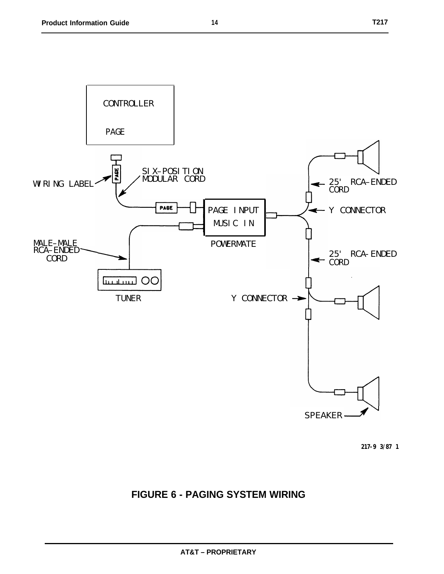<span id="page-18-0"></span>

# **FIGURE 6 - PAGING SYSTEM WIRING**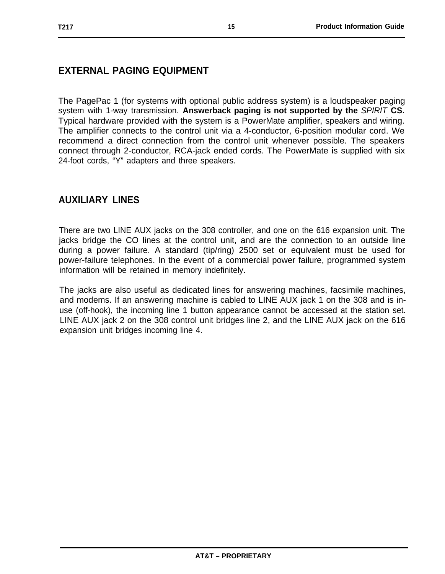# <span id="page-19-0"></span>**EXTERNAL PAGING EQUIPMENT**

The PagePac 1 (for systems with optional public address system) is a loudspeaker paging system with 1-way transmission. **Answerback paging is not supported by the** SPIRIT **CS.** Typical hardware provided with the system is a PowerMate amplifier, speakers and wiring. The amplifier connects to the control unit via a 4-conductor, 6-position modular cord. We recommend a direct connection from the control unit whenever possible. The speakers connect through 2-conductor, RCA-jack ended cords. The PowerMate is supplied with six 24-foot cords, "Y" adapters and three speakers.

### <span id="page-19-1"></span>**AUXILIARY LINES**

There are two LINE AUX jacks on the 308 controller, and one on the 616 expansion unit. The jacks bridge the CO lines at the control unit, and are the connection to an outside line during a power failure. A standard (tip/ring) 2500 set or equivalent must be used for power-failure telephones. In the event of a commercial power failure, programmed system information will be retained in memory indefinitely.

The jacks are also useful as dedicated lines for answering machines, facsimile machines, and modems. If an answering machine is cabled to LINE AUX jack 1 on the 308 and is inuse (off-hook), the incoming line 1 button appearance cannot be accessed at the station set. LINE AUX jack 2 on the 308 control unit bridges line 2, and the LINE AUX jack on the 616 expansion unit bridges incoming line 4.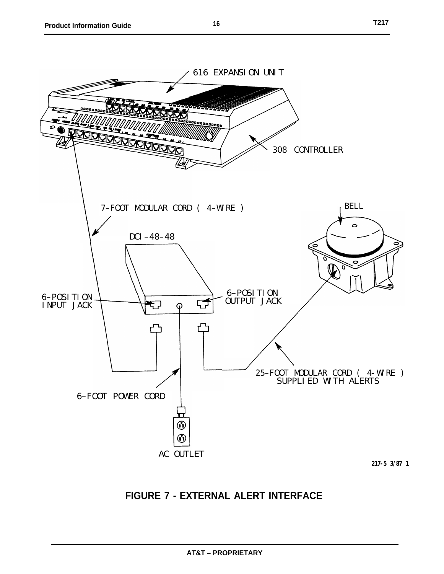<span id="page-20-0"></span>

**217-5 3/87 1**

# **FIGURE 7 - EXTERNAL ALERT INTERFACE**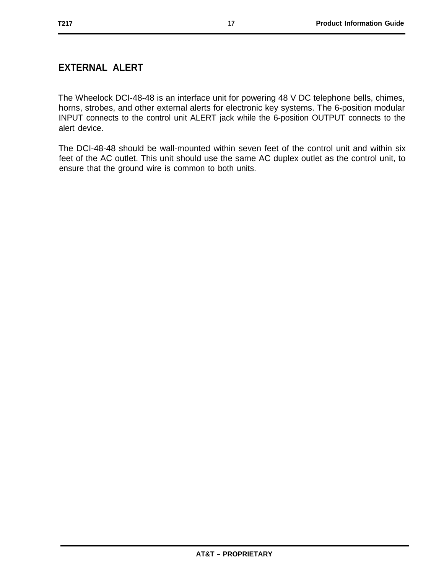# <span id="page-21-0"></span>**EXTERNAL ALERT**

The Wheelock DCI-48-48 is an interface unit for powering 48 V DC telephone bells, chimes, horns, strobes, and other external alerts for electronic key systems. The 6-position modular INPUT connects to the control unit ALERT jack while the 6-position OUTPUT connects to the alert device.

The DCI-48-48 should be wall-mounted within seven feet of the control unit and within six feet of the AC outlet. This unit should use the same AC duplex outlet as the control unit, to ensure that the ground wire is common to both units.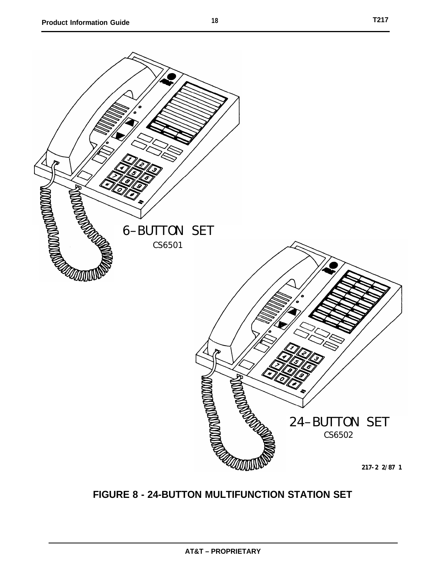<span id="page-22-0"></span>

# **FIGURE 8 - 24-BUTTON MULTIFUNCTION STATION SET**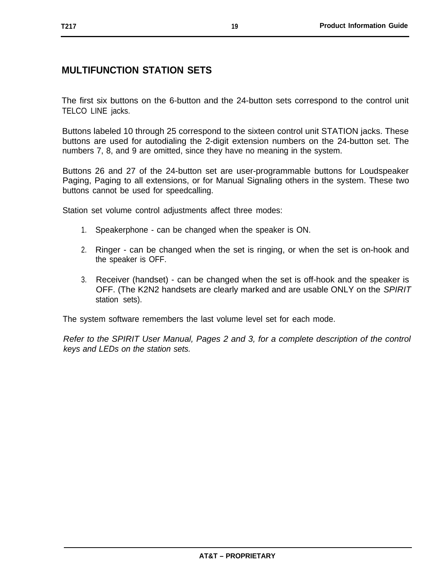# <span id="page-23-0"></span>**MULTIFUNCTION STATION SETS**

The first six buttons on the 6-button and the 24-button sets correspond to the control unit TELCO LINE jacks.

Buttons labeled 10 through 25 correspond to the sixteen control unit STATION jacks. These buttons are used for autodialing the 2-digit extension numbers on the 24-button set. The numbers 7, 8, and 9 are omitted, since they have no meaning in the system.

Buttons 26 and 27 of the 24-button set are user-programmable buttons for Loudspeaker Paging, Paging to all extensions, or for Manual Signaling others in the system. These two buttons cannot be used for speedcalling.

Station set volume control adjustments affect three modes:

- 1. Speakerphone can be changed when the speaker is ON.
- 2. Ringer can be changed when the set is ringing, or when the set is on-hook and the speaker is OFF.
- 3. Receiver (handset) can be changed when the set is off-hook and the speaker is OFF. (The K2N2 handsets are clearly marked and are usable ONLY on the SPIRIT station sets).

The system software remembers the last volume level set for each mode.

Refer to the SPIRIT User Manual, Pages 2 and 3, for a complete description of the control keys and LEDs on the station sets.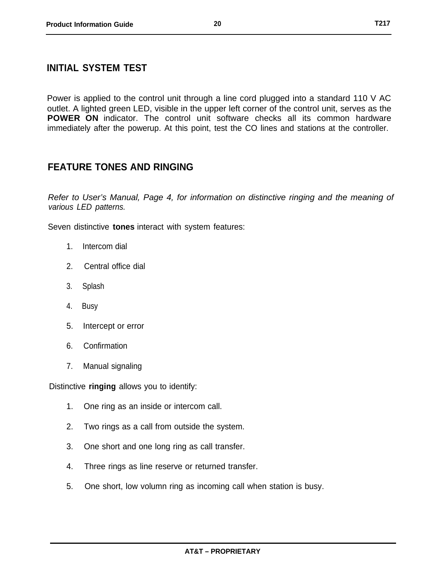#### <span id="page-24-0"></span>**INITIAL SYSTEM TEST**

Power is applied to the control unit through a line cord plugged into a standard 110 V AC outlet. A lighted green LED, visible in the upper left corner of the control unit, serves as the **POWER ON** indicator. The control unit software checks all its common hardware immediately after the powerup. At this point, test the CO lines and stations at the controller.

#### <span id="page-24-1"></span>**FEATURE TONES AND RINGING**

Refer to User's Manual, Page 4, for information on distinctive ringing and the meaning of various LED patterns.

Seven distinctive **tones** interact with system features:

- 1. Intercom dial
- 2. Central office dial
- 3. Splash
- 4. Busy
- 5. Intercept or error
- 6. Confirmation
- 7. Manual signaling

Distinctive **ringing** allows you to identify:

- 1. One ring as an inside or intercom call.
- 2. Two rings as a call from outside the system.
- 3. One short and one long ring as call transfer.
- 4. Three rings as line reserve or returned transfer.
- 5. One short, low volumn ring as incoming call when station is busy.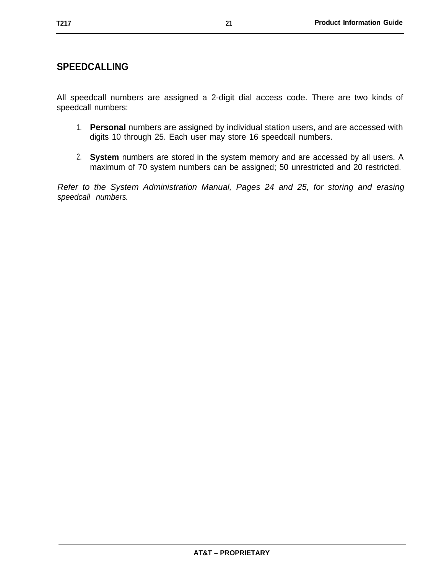#### <span id="page-25-0"></span>**SPEEDCALLlNG**

All speedcall numbers are assigned a 2-digit dial access code. There are two kinds of speedcall numbers:

- 1. **Personal** numbers are assigned by individual station users, and are accessed with digits 10 through 25. Each user may store 16 speedcall numbers.
- 2. **System** numbers are stored in the system memory and are accessed by all users. A maximum of 70 system numbers can be assigned; 50 unrestricted and 20 restricted.

Refer to the System Administration Manual, Pages 24 and 25, for storing and erasing speedcall numbers.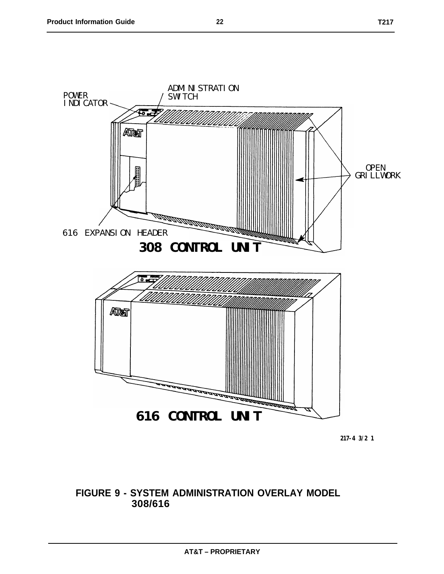<span id="page-26-0"></span>

**217-4 3/2 1**

#### **FIGURE 9 - SYSTEM ADMINISTRATION OVERLAY MODEL 308/616**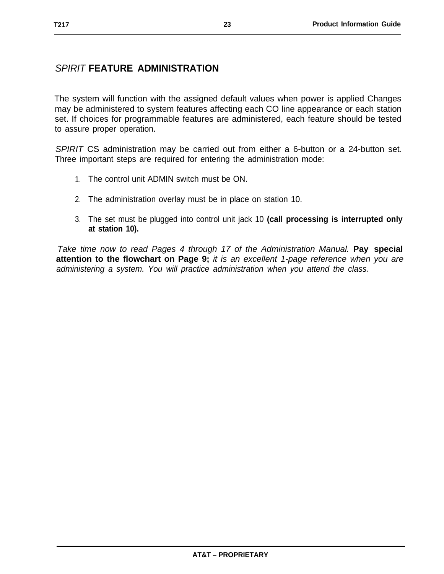# <span id="page-27-0"></span>SPIRIT **FEATURE ADMINISTRATION**

The system will function with the assigned default values when power is applied Changes may be administered to system features affecting each CO line appearance or each station set. If choices for programmable features are administered, each feature should be tested to assure proper operation.

SPIRIT CS administration may be carried out from either a 6-button or a 24-button set. Three important steps are required for entering the administration mode:

- 1. The control unit ADMIN switch must be ON.
- 2. The administration overlay must be in place on station 10.
- 3. The set must be plugged into control unit jack 10 **(call processing is interrupted only at station 10).**

Take time now to read Pages 4 through 17 of the Administration Manual. **Pay special attention to the flowchart on Page 9;** it is an excellent 1-page reference when you are administering a system. You will practice administration when you attend the class.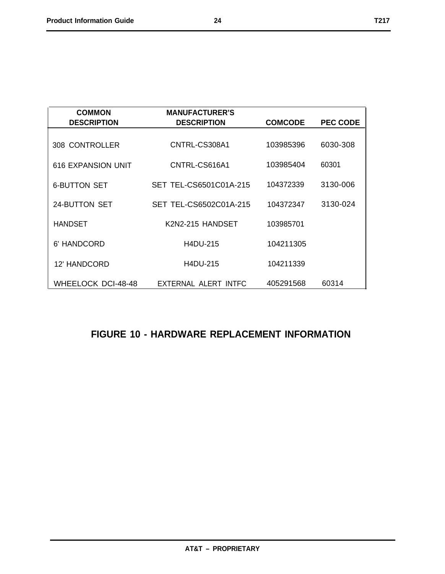<span id="page-28-0"></span>

| <b>COMMON</b><br><b>DESCRIPTION</b> | <b>MANUFACTURER'S</b><br><b>DESCRIPTION</b> | <b>COMCODE</b> | <b>PEC CODE</b> |
|-------------------------------------|---------------------------------------------|----------------|-----------------|
| 308 CONTROLLER                      | CNTRL-CS308A1                               | 103985396      | 6030-308        |
| 616 EXPANSION UNIT                  | CNTRL-CS616A1                               | 103985404      | 60301           |
| <b>6-BUTTON SET</b>                 | SET TEL-CS6501C01A-215                      | 104372339      | 3130-006        |
| 24-BUTTON SET                       | SET TEL-CS6502C01A-215                      | 104372347      | 3130-024        |
| <b>HANDSET</b>                      | K2N2-215 HANDSET                            | 103985701      |                 |
| 6' HANDCORD                         | H4DU-215                                    | 104211305      |                 |
| 12' HANDCORD                        | <b>H4DU-215</b>                             | 104211339      |                 |
| <b>WHEELOCK DCI-48-48</b>           | EXTERNAL ALERT INTFC                        | 405291568      | 60314           |

# **FIGURE 10 - HARDWARE REPLACEMENT INFORMATION**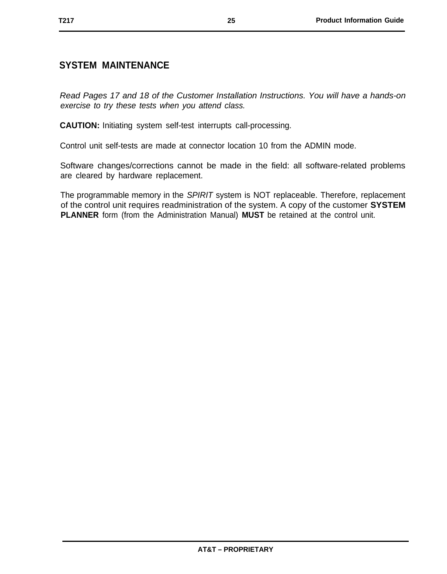#### <span id="page-29-0"></span>**SYSTEM MAINTENANCE**

Read Pages 17 and 18 of the Customer Installation Instructions. You will have a hands-on exercise to try these tests when you attend class.

**CAUTION:** Initiating system self-test interrupts call-processing.

Control unit self-tests are made at connector location 10 from the ADMIN mode.

Software changes/corrections cannot be made in the field: all software-related problems are cleared by hardware replacement.

The programmable memory in the SPIRIT system is NOT replaceable. Therefore, replacement of the control unit requires readministration of the system. A copy of the customer **SYSTEM PLANNER** form (from the Administration Manual) **MUST** be retained at the control unit.